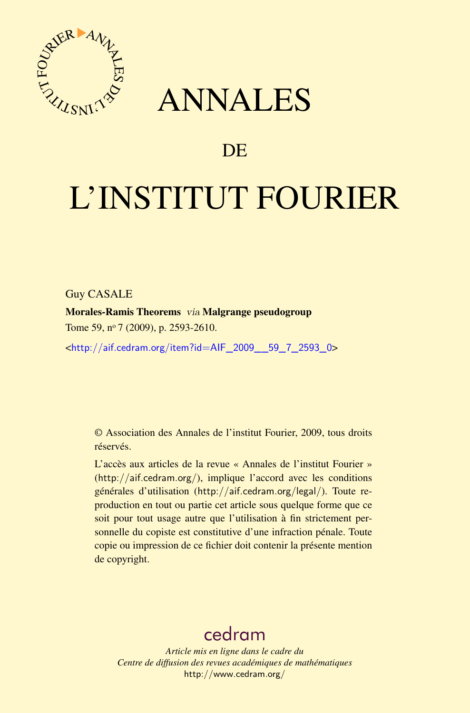

## ANNALES

### **DE**

# L'INSTITUT FOURIER

#### Guy CASALE

Morales-Ramis Theorems via Malgrange pseudogroup Tome 59, nº 7 (2009), p. 2593-2610.

<[http://aif.cedram.org/item?id=AIF\\_2009\\_\\_59\\_7\\_2593\\_0](http://aif.cedram.org/item?id=AIF_2009__59_7_2593_0)>

© Association des Annales de l'institut Fourier, 2009, tous droits réservés.

L'accès aux articles de la revue « Annales de l'institut Fourier » (<http://aif.cedram.org/>), implique l'accord avec les conditions générales d'utilisation (<http://aif.cedram.org/legal/>). Toute reproduction en tout ou partie cet article sous quelque forme que ce soit pour tout usage autre que l'utilisation à fin strictement personnelle du copiste est constitutive d'une infraction pénale. Toute copie ou impression de ce fichier doit contenir la présente mention de copyright.

## [cedram](http://www.cedram.org/)

*Article mis en ligne dans le cadre du Centre de diffusion des revues académiques de mathématiques* <http://www.cedram.org/>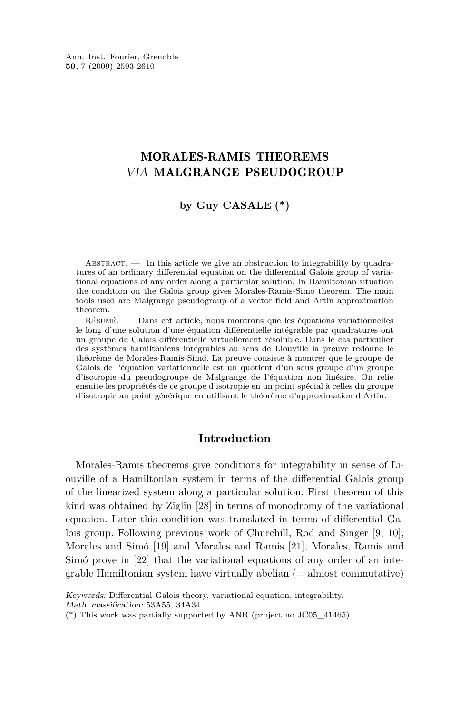Ann. Inst. Fourier, Grenoble **59**, 7 (2009) 2593-2610

#### MORALES-RAMIS THEOREMS VIA MALGRANGE PSEUDOGROUP

#### **by Guy CASALE (\*)**

ABSTRACT.  $\qquad$  In this article we give an obstruction to integrability by quadratures of an ordinary differential equation on the differential Galois group of variational equations of any order along a particular solution. In Hamiltonian situation the condition on the Galois group gives Morales-Ramis-Simó theorem. The main tools used are Malgrange pseudogroup of a vector field and Artin approximation theorem.

Résumé. — Dans cet article, nous montrons que les équations variationnelles le long d'une solution d'une équation différentielle intégrable par quadratures ont un groupe de Galois différentielle virtuellement résoluble. Dans le cas particulier des systèmes hamiltoniens intégrables au sens de Liouville la preuve redonne le théorème de Morales-Ramis-Simó. La preuve consiste à montrer que le groupe de Galois de l'équation variationnelle est un quotient d'un sous groupe d'un groupe d'isotropie du pseudogroupe de Malgrange de l'équation non linéaire. On relie ensuite les propriétés de ce groupe d'isotropie en un point spécial à celles du groupe d'isotropie au point générique en utilisant le théorème d'approximation d'Artin.

#### **Introduction**

Morales-Ramis theorems give conditions for integrability in sense of Liouville of a Hamiltonian system in terms of the differential Galois group of the linearized system along a particular solution. First theorem of this kind was obtained by Ziglin [\[28\]](#page-18-0) in terms of monodromy of the variational equation. Later this condition was translated in terms of differential Galois group. Following previous work of Churchill, Rod and Singer [\[9,](#page-17-0) [10\]](#page-17-0), Morales and Simó [\[19\]](#page-17-0) and Morales and Ramis [\[21\]](#page-17-0), Morales, Ramis and Simó prove in [\[22\]](#page-17-0) that the variational equations of any order of an inte $graph$  Hamiltonian system have virtually abelian  $(=$  almost commutative)

Keywords: Differential Galois theory, variational equation, integrability. Math. classification: 53A55, 34A34.

<sup>(\*)</sup> This work was partially supported by ANR (project no JC05\_41465).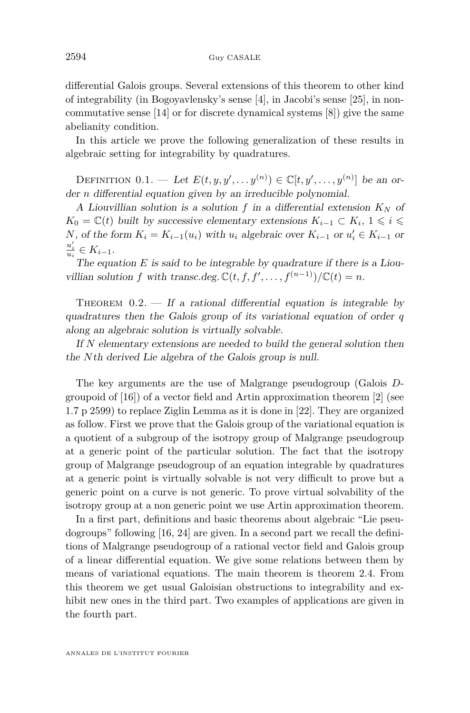differential Galois groups. Several extensions of this theorem to other kind of integrability (in Bogoyavlensky's sense [\[4\]](#page-17-0), in Jacobi's sense [\[25\]](#page-18-0), in noncommutative sense [\[14\]](#page-17-0) or for discrete dynamical systems [\[8\]](#page-17-0)) give the same abelianity condition.

In this article we prove the following generalization of these results in algebraic setting for integrability by quadratures.

DEFINITION  $0.1.$  — Let  $E(t, y, y', \ldots, y^{(n)}) \in \mathbb{C}[t, y', \ldots, y^{(n)}]$  be an order *n* differential equation given by an irreducible polynomial.

A Liouvillian solution is a solution  $f$  in a differential extension  $K_N$  of *K*<sup>0</sup> =  $\mathbb{C}(t)$  built by successive elementary extensions  $K_{i-1}$  ⊂  $K_i$ , 1 ≤ *i* ≤ *N*, of the form  $K_i = K_{i-1}(u_i)$  with  $u_i$  algebraic over  $K_{i-1}$  or  $u'_i \in K_{i-1}$  or  $\frac{u'_i}{u_i} \in K_{i-1}.$ 

The equation *E* is said to be integrable by quadrature if there is a Liouvillian solution *f* with transc.deg.  $\mathbb{C}(t, f, f', \ldots, f^{(n-1)})/\mathbb{C}(t) = n$ .

THEOREM  $0.2.$  — If a rational differential equation is integrable by quadratures then the Galois group of its variational equation of order *q* along an algebraic solution is virtually solvable.

If *N* elementary extensions are needed to build the general solution then the *N*th derived Lie algebra of the Galois group is null.

The key arguments are the use of Malgrange pseudogroup (Galois *D*groupoid of [\[16\]](#page-17-0)) of a vector field and Artin approximation theorem [\[2\]](#page-16-0) (see [1.7](#page-7-0) p [2599\)](#page-7-0) to replace Ziglin Lemma as it is done in [\[22\]](#page-17-0). They are organized as follow. First we prove that the Galois group of the variational equation is a quotient of a subgroup of the isotropy group of Malgrange pseudogroup at a generic point of the particular solution. The fact that the isotropy group of Malgrange pseudogroup of an equation integrable by quadratures at a generic point is virtually solvable is not very difficult to prove but a generic point on a curve is not generic. To prove virtual solvability of the isotropy group at a non generic point we use Artin approximation theorem.

In a first part, definitions and basic theorems about algebraic "Lie pseudogroups" following [\[16,](#page-17-0) [24\]](#page-18-0) are given. In a second part we recall the definitions of Malgrange pseudogroup of a rational vector field and Galois group of a linear differential equation. We give some relations between them by means of variational equations. The main theorem is theorem [2.4.](#page-10-0) From this theorem we get usual Galoisian obstructions to integrability and exhibit new ones in the third part. Two examples of applications are given in the fourth part.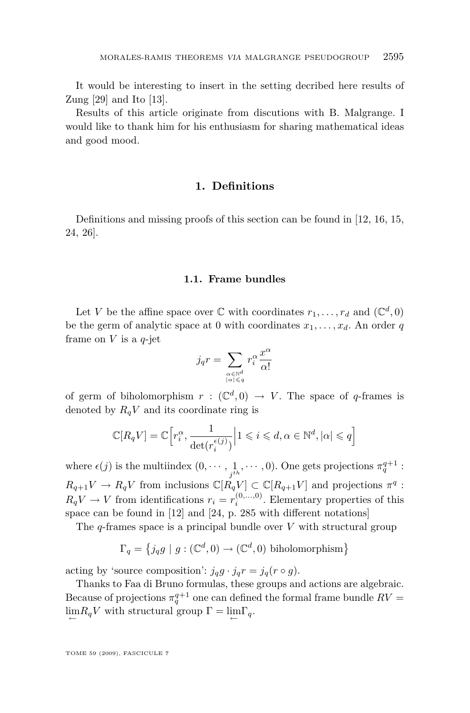It would be interesting to insert in the setting decribed here results of Zung [\[29\]](#page-18-0) and Ito [\[13\]](#page-17-0).

Results of this article originate from discutions with B. Malgrange. I would like to thank him for his enthusiasm for sharing mathematical ideas and good mood.

#### **1. Definitions**

Definitions and missing proofs of this section can be found in [\[12,](#page-17-0) [16,](#page-17-0) [15,](#page-17-0) [24,](#page-18-0) [26\]](#page-18-0).

#### **1.1. Frame bundles**

Let *V* be the affine space over  $\mathbb C$  with coordinates  $r_1, \ldots, r_d$  and  $(\mathbb C^d, 0)$ be the germ of analytic space at 0 with coordinates  $x_1, \ldots, x_d$ . An order q frame on *V* is a *q*-jet

$$
j_q r = \sum_{\substack{\alpha \in \mathbb{N}^d \\ |\alpha| \leqslant q}} r_i^{\alpha} \frac{x^{\alpha}}{\alpha!}
$$

of germ of biholomorphism  $r : (\mathbb{C}^d, 0) \to V$ . The space of *q*-frames is denoted by  $R_qV$  and its coordinate ring is

$$
\mathbb{C}[R_qV]=\mathbb{C}\Big[r_i^\alpha,\frac{1}{\det(r_i^{\epsilon(j)})}\Big|1\leqslant i\leqslant d,\alpha\in\mathbb{N}^d,|\alpha|\leqslant q\Big]
$$

where  $\epsilon(j)$  is the multiindex  $(0, \dots, \frac{1}{j^{th}}, \dots, 0)$ . One gets projections  $\pi_q^{q+1}$ :  $R_{q+1}V \to R_qV$  from inclusions  $\mathbb{C}[R_qV] \subset \mathbb{C}[R_{q+1}V]$  and projections  $\pi^q$ :  $R_qV \to V$  from identifications  $r_i = r_i^{(0,...,0)}$ . Elementary properties of this space can be found in [\[12\]](#page-17-0) and [\[24,](#page-18-0) p. 285 with different notations]

The *q*-frames space is a principal bundle over *V* with structural group

$$
\Gamma_q = \left\{ j_q g \mid g : (\mathbb{C}^d, 0) \to (\mathbb{C}^d, 0) \text{ biholomorphism} \right\}
$$

acting by 'source composition':  $j_q g \cdot j_q r = j_q (r \circ q)$ .

Thanks to Faa di Bruno formulas, these groups and actions are algebraic. Because of projections  $\pi_q^{q+1}$  one can defined the formal frame bundle  $RV =$  $\lim_{\leftarrow} R_q V$  with structural group  $\Gamma = \lim_{\leftarrow} \Gamma_q$ .

TOME 59 (2009), FASCICULE 7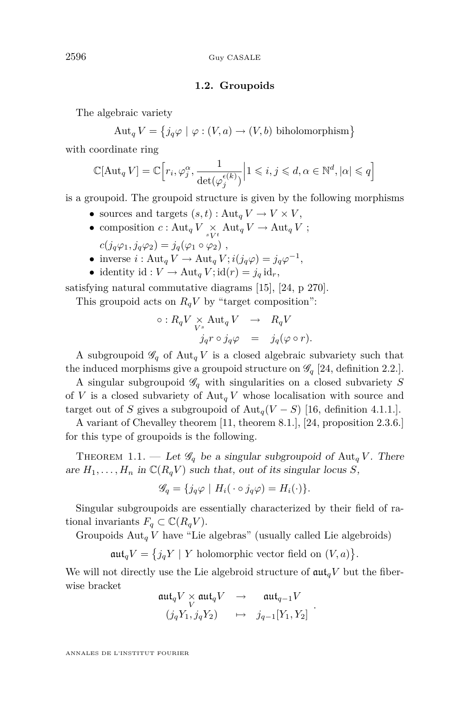#### **1.2. Groupoids**

<span id="page-4-0"></span>The algebraic variety

 $\text{Aut}_q V = \{ j_q \varphi \mid \varphi : (V, a) \to (V, b) \text{ biholomorphism} \}$ 

with coordinate ring

$$
\mathbb{C}[\mathrm{Aut}_q \, V] = \mathbb{C}\Big[r_i, \varphi_j^{\alpha}, \frac{1}{\det(\varphi_j^{\epsilon(k)})} \Big| 1 \leqslant i,j \leqslant d, \alpha \in \mathbb{N}^d, |\alpha| \leqslant q\Big]
$$

is a groupoid. The groupoid structure is given by the following morphisms

- sources and targets  $(s, t)$ : Aut<sub>*q*</sub>  $V \to V \times V$ ,
- composition  $c : \text{Aut}_q V \underset{sV^t}{\times} \text{Aut}_q V \to \text{Aut}_q V$ ;  $c(j_q\varphi_1, j_q\varphi_2) = j_q(\varphi_1 \circ \varphi_2),$
- inverse *i* : Aut<sub>*q*</sub>  $V \to$  Aut<sub>*q*</sub></sub>  $V$ ;  $i(j_q\varphi) = j_q\varphi^{-1}$ ,
- identity id :  $V \to \text{Aut}_q V$ ; id $(r) = j_q$  id<sub>*r*</sub>,

satisfying natural commutative diagrams [\[15\]](#page-17-0), [\[24,](#page-18-0) p 270].

This groupoid acts on  $R_qV$  by "target composition":

$$
\circ: R_q V \underset{V^s}{\times} \mathrm{Aut}_q V \quad \to \quad R_q V \n\qquad \qquad j_q r \circ j_q \varphi \quad = \quad j_q (\varphi \circ r).
$$

A subgroupoid  $\mathscr{G}_q$  of Aut<sub>q</sub> *V* is a closed algebraic subvariety such that the induced morphisms give a groupoid structure on  $\mathscr{G}_q$  [\[24,](#page-18-0) definition 2.2.].

A singular subgroupoid  $\mathscr{G}_q$  with singularities on a closed subvariety *S* of *V* is a closed subvariety of  $\text{Aut}_q V$  whose localisation with source and target out of *S* gives a subgroupoid of  $\text{Aut}_q(V-S)$  [\[16,](#page-17-0) definition 4.1.1.].

A variant of Chevalley theorem [\[11,](#page-17-0) theorem 8.1.], [\[24,](#page-18-0) proposition 2.3.6.] for this type of groupoids is the following.

THEOREM 1.1. — Let  $\mathscr{G}_q$  be a singular subgroupoid of Aut<sub>q</sub> *V*. There are  $H_1, \ldots, H_n$  in  $\mathbb{C}(R_qV)$  such that, out of its singular locus *S*,

$$
\mathscr{G}_q = \{ j_q \varphi \mid H_i(\cdot \circ j_q \varphi) = H_i(\cdot) \}.
$$

Singular subgroupoids are essentially characterized by their field of rational invariants  $F_q \subset \mathbb{C}(R_q V)$ .

Groupoids  $\text{Aut}_q V$  have "Lie algebras" (usually called Lie algebroids)

 $\mathfrak{aut}_q V = \{ j_q Y \mid Y \text{ holomorphic vector field on } (V, a) \}.$ 

We will not directly use the Lie algebroid structure of  $\mathfrak{aut}_{q}V$  but the fiberwise bracket

$$
\begin{array}{ccc}\n\mathfrak{aut}_q V \times \mathfrak{aut}_q V & \to & \mathfrak{aut}_{q-1} V \\
(j_q Y_1, j_q Y_2) & \mapsto & j_{q-1}[Y_1, Y_2]\n\end{array}
$$

*.*

ANNALES DE L'INSTITUT FOURIER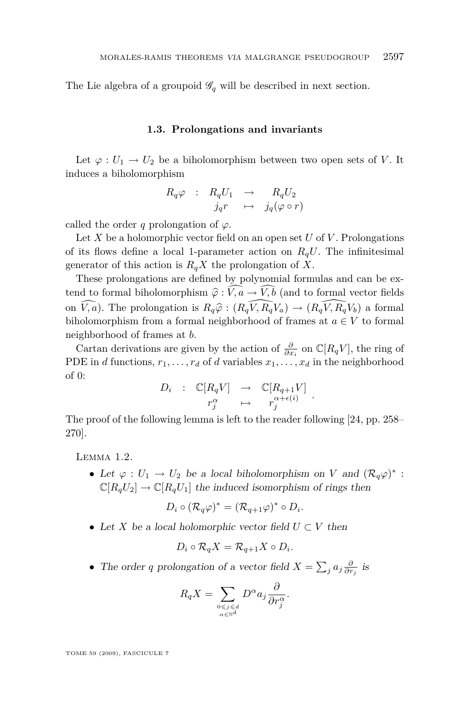The Lie algebra of a groupoid  $\mathscr{G}_q$  will be described in next section.

#### **1.3. Prolongations and invariants**

Let  $\varphi: U_1 \to U_2$  be a biholomorphism between two open sets of *V*. It induces a biholomorphism

$$
R_q \varphi \quad : \quad R_q U_1 \quad \to \quad \quad R_q U_2
$$

$$
j_q r \quad \mapsto \quad j_q (\varphi \circ r)
$$

called the order *q* prolongation of  $\varphi$ .

Let *X* be a holomorphic vector field on an open set *U* of *V* . Prolongations of its flows define a local 1-parameter action on  $R_qU$ . The infinitesimal generator of this action is  $R_qX$  the prolongation of X.

These prolongations are defined by polynomial formulas and can be extend to formal biholomorphism  $\hat{\varphi}$  :  $\widehat{V}, \widehat{a} \to \widehat{V}, \widehat{b}$  (and to formal vector fields on  $\widehat{V}, \widehat{a}$ . The prolongation is  $R_q\widehat{\varphi}: (R_q\widehat{V}, R_q\widehat{V}_a) \to (R_q\widehat{V}, R_q\widehat{V}_b)$  a formal biholomorphism from a formal neighborhood of frames at  $a \in V$  to formal neighborhood of frames at *b*.

Cartan derivations are given by the action of  $\frac{\partial}{\partial x_i}$  on  $\mathbb{C}[R_q V]$ , the ring of PDE in *d* functions,  $r_1, \ldots, r_d$  of *d* variables  $x_1, \ldots, x_d$  in the neighborhood of 0:

$$
D_i : \mathbb{C}[R_q V] \rightarrow \mathbb{C}[R_{q+1} V] \n r_j^{\alpha} \rightarrow r_j^{\alpha + \epsilon(i)}.
$$

The proof of the following lemma is left to the reader following [\[24,](#page-18-0) pp. 258– 270].

Lemma 1.2.

• Let  $\varphi: U_1 \to U_2$  be a local biholomorphism on *V* and  $(\mathcal{R}_q\varphi)^*$ :  $\mathbb{C}[R_qU_2] \to \mathbb{C}[R_qU_1]$  the induced isomorphism of rings then

$$
D_i \circ (\mathcal{R}_q \varphi)^* = (\mathcal{R}_{q+1} \varphi)^* \circ D_i.
$$

*•* Let *X* be a local holomorphic vector field *U ⊂ V* then

$$
D_i \circ \mathcal{R}_q X = \mathcal{R}_{q+1} X \circ D_i.
$$

• The order *q* prolongation of a vector field  $X = \sum_j a_j \frac{\partial}{\partial r_j}$  is

$$
R_q X = \sum_{\substack{0 \le j \le d \\ \alpha \in \mathbb{N}^d}} D^{\alpha} a_j \frac{\partial}{\partial r_j^{\alpha}}.
$$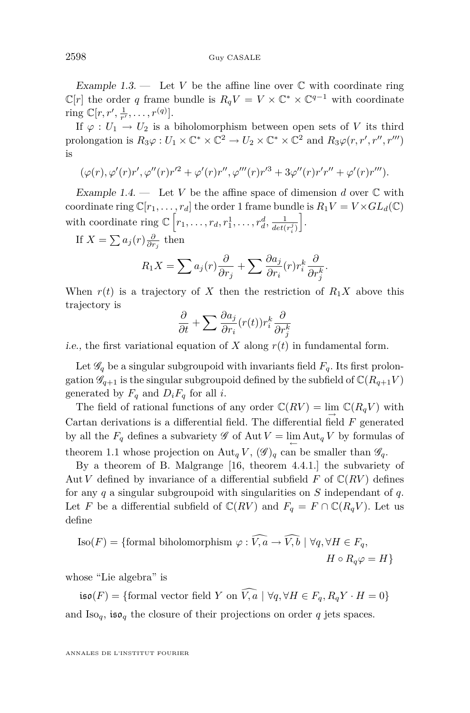<span id="page-6-0"></span>Example 1.3.  $\qquad$  Let *V* be the affine line over  $\mathbb C$  with coordinate ring  $\mathbb{C}[r]$  the order *q* frame bundle is  $R_qV = V \times \mathbb{C}^* \times \mathbb{C}^{q-1}$  with coordinate ring  $\mathbb{C}[r, r', \frac{1}{r'}, \ldots, r^{(q)}].$ 

If  $\varphi: U_1 \to U_2$  is a biholomorphism between open sets of *V* its third prolongation is  $R_3\varphi: U_1 \times \mathbb{C}^* \times \mathbb{C}^2 \to U_2 \times \mathbb{C}^* \times \mathbb{C}^2$  and  $R_3\varphi(r, r', r'', r''')$ is

$$
(\varphi(r), \varphi'(r)r', \varphi''(r)r'^2 + \varphi'(r)r'', \varphi'''(r)r'^3 + 3\varphi''(r)r'r'' + \varphi'(r)r''').
$$

Example 1.4. — Let *V* be the affine space of dimension *d* over  $\mathbb C$  with coordinate ring  $\mathbb{C}[r_1,\ldots,r_d]$  the order 1 frame bundle is  $R_1V = V \times GL_d(\mathbb{C})$ with coordinate ring  $\mathbb{C}\left[r_1, \ldots, r_d, r_1^1, \ldots, r_d^d, \frac{1}{det}(r)\right]$  $det(r_i^j)$ i .

If  $X = \sum a_j(r) \frac{\partial}{\partial r_j}$  then

$$
R_1 X = \sum a_j(r) \frac{\partial}{\partial r_j} + \sum \frac{\partial a_j}{\partial r_i}(r) r_i^k \frac{\partial}{\partial r_j^k}.
$$

When  $r(t)$  is a trajectory of *X* then the restriction of  $R_1X$  above this trajectory is

$$
\frac{\partial}{\partial t} + \sum \frac{\partial a_j}{\partial r_i}(r(t))r_i^k \frac{\partial}{\partial r_j^k}
$$

i.e., the first variational equation of  $X$  along  $r(t)$  in fundamental form.

Let  $\mathscr{G}_q$  be a singular subgroupoid with invariants field  $F_q$ . Its first prolongation  $\mathscr{G}_{q+1}$  is the singular subgroupoid defined by the subfield of  $\mathbb{C}(R_{q+1}V)$ generated by  $F_q$  and  $D_i F_q$  for all *i*.

The field of rational functions of any order  $\mathbb{C}(RV) = \lim_{\rightarrow} \mathbb{C}(R_qV)$  with Cartan derivations is a differential field. The differential field *F* generated by all the  $F_q$  defines a subvariety  $\mathscr G$  of Aut  $V = \lim_{\leftarrow} \text{Aut}_q V$  by formulas of theorem [1.1](#page-4-0) whose projection on Aut<sub>*q*</sub> *V*,  $(\mathscr{G})_q$  can be smaller than  $\mathscr{G}_q$ .

By a theorem of B. Malgrange [\[16,](#page-17-0) theorem 4.4.1.] the subvariety of Aut *V* defined by invariance of a differential subfield  $F$  of  $\mathbb{C}(RV)$  defines for any *q* a singular subgroupoid with singularities on *S* independant of *q*. Let *F* be a differential subfield of  $\mathbb{C}(RV)$  and  $F_q = F \cap \mathbb{C}(R_qV)$ . Let us define

$$
\text{Iso}(F) = \{ \text{formal biholomorphism } \varphi : \widehat{V, a} \to \widehat{V, b} \mid \forall q, \forall H \in F_q, H \circ R_q \varphi = H \}
$$

whose "Lie algebra" is

 $i\mathfrak{so}(F) = \{\text{formal vector field } Y \text{ on } \widehat{V, a} \mid \forall q, \forall H \in F_q, R_qY \cdot H = 0\}$ and  $\text{Iso}_q$ , iso<sub>q</sub> the closure of their projections on order q jets spaces.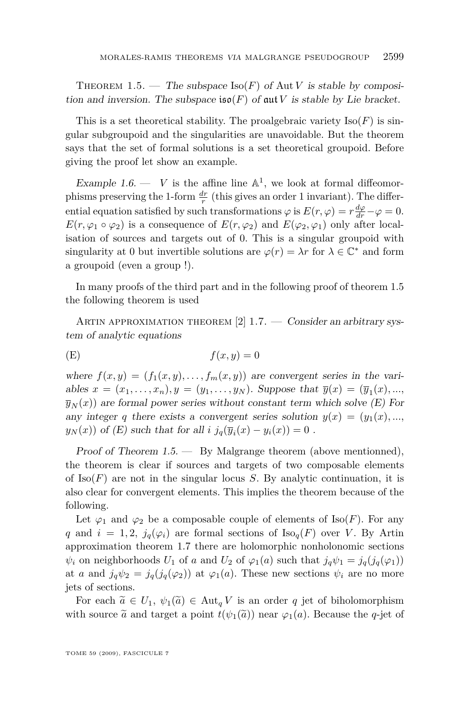<span id="page-7-0"></span>THEOREM 1.5. — The subspace  $\text{Iso}(F)$  of Aut *V* is stable by composition and inversion. The subspace  $\mathfrak{iso}(F)$  of  $\mathfrak{aut}V$  is stable by Lie bracket.

This is a set theoretical stability. The proalgebraic variety  $\text{Iso}(F)$  is singular subgroupoid and the singularities are unavoidable. But the theorem says that the set of formal solutions is a set theoretical groupoid. Before giving the proof let show an example.

Example 1.6.  $\cdots$  *V* is the affine line  $\mathbb{A}^1$ , we look at formal diffeomorphisms preserving the 1-form  $\frac{dr}{r}$  (this gives an order 1 invariant). The differential equation satisfied by such transformations  $\varphi$  is  $E(r, \varphi) = r \frac{d\varphi}{dr} - \varphi = 0$ .  $E(r, \varphi_1 \circ \varphi_2)$  is a consequence of  $E(r, \varphi_2)$  and  $E(\varphi_2, \varphi_1)$  only after localisation of sources and targets out of 0. This is a singular groupoid with singularity at 0 but invertible solutions are  $\varphi(r) = \lambda r$  for  $\lambda \in \mathbb{C}^*$  and form a groupoid (even a group !).

In many proofs of the third part and in the following proof of theorem [1.5](#page-6-0) the following theorem is used

ARTIN APPROXIMATION THEOREM  $[2]$  1.7.  $-$  Consider an arbitrary system of analytic equations

$$
(E) \t\t f(x,y) = 0
$$

where  $f(x, y) = (f_1(x, y), \ldots, f_m(x, y))$  are convergent series in the variables  $x = (x_1, ..., x_n), y = (y_1, ..., y_N)$ . Suppose that  $\overline{y}(x) = (\overline{y}_1(x), ..., y_N)$  $\overline{y}_N(x)$  are formal power series without constant term which solve  $(E)$  For any integer *q* there exists a convergent series solution  $y(x) = (y_1(x), \ldots,$ *y*<sub>*N*</sub>(*x*)) of (*E*) such that for all *i*  $j_q(\overline{y}_i(x) - y_i(x)) = 0$ .

Proof of Theorem  $1.5.$  — By Malgrange theorem (above mentionned), the theorem is clear if sources and targets of two composable elements of  $\text{Iso}(F)$  are not in the singular locus *S*. By analytic continuation, it is also clear for convergent elements. This implies the theorem because of the following.

Let  $\varphi_1$  and  $\varphi_2$  be a composable couple of elements of Iso(*F*). For any *q* and  $i = 1, 2, j_q(\varphi_i)$  are formal sections of  $\text{Iso}_q(F)$  over *V*. By Artin approximation theorem 1.7 there are holomorphic nonholonomic sections  $\psi_i$  on neighborhoods  $U_1$  of *a* and  $U_2$  of  $\varphi_1(a)$  such that  $j_q\psi_1 = j_q(j_q(\varphi_1))$ at *a* and  $j_q\psi_2 = j_q(j_q(\varphi_2))$  at  $\varphi_1(a)$ . These new sections  $\psi_i$  are no more jets of sections.

For each  $\tilde{a} \in U_1$ ,  $\psi_1(\tilde{a}) \in \text{Aut}_q V$  is an order q jet of biholomorphism with source  $\tilde{a}$  and target a point  $t(\psi_1(\tilde{a}))$  near  $\varphi_1(a)$ . Because the *q*-jet of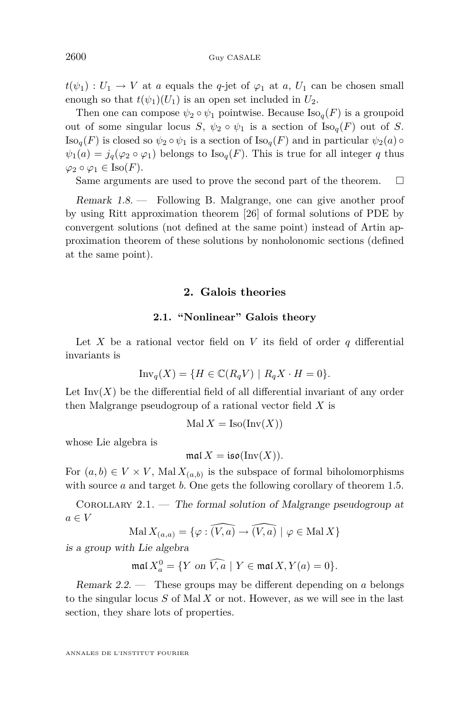$t(\psi_1): U_1 \to V$  at *a* equals the *q*-jet of  $\varphi_1$  at *a*,  $U_1$  can be chosen small enough so that  $t(\psi_1)(U_1)$  is an open set included in  $U_2$ .

Then one can compose  $\psi_2 \circ \psi_1$  pointwise. Because  $\text{Iso}_q(F)$  is a groupoid out of some singular locus *S*,  $\psi_2 \circ \psi_1$  is a section of  $\text{Iso}_q(F)$  out of *S*.  $\text{Iso}_{q}(F)$  is closed so  $\psi_2 \circ \psi_1$  is a section of  $\text{Iso}_{q}(F)$  and in particular  $\psi_2(a) \circ$  $\psi_1(a) = j_q(\varphi_2 \circ \varphi_1)$  belongs to  $\text{Iso}_q(F)$ . This is true for all integer *q* thus  $\varphi_2 \circ \varphi_1 \in \text{Iso}(F)$ .

Same arguments are used to prove the second part of the theorem.  $\Box$ 

Remark 1.8. — Following B. Malgrange, one can give another proof by using Ritt approximation theorem [\[26\]](#page-18-0) of formal solutions of PDE by convergent solutions (not defined at the same point) instead of Artin approximation theorem of these solutions by nonholonomic sections (defined at the same point).

#### **2. Galois theories**

#### **2.1. "Nonlinear" Galois theory**

Let *X* be a rational vector field on *V* its field of order  $q$  differential invariants is

$$
\text{Inv}_q(X) = \{ H \in \mathbb{C}(R_q V) \mid R_q X \cdot H = 0 \}.
$$

Let  $\text{Inv}(X)$  be the differential field of all differential invariant of any order then Malgrange pseudogroup of a rational vector field *X* is

$$
Mal X = Iso(Inv(X))
$$

whose Lie algebra is

$$
\operatorname{mal} X = \operatorname{iso}(\operatorname{Inv}(X)).
$$

For  $(a, b) \in V \times V$ , Mal  $X_{(a, b)}$  is the subspace of formal biholomorphisms with source *a* and target *b*. One gets the following corollary of theorem [1.5.](#page-6-0)

COROLLARY 2.1. — The formal solution of Malgrange pseudogroup at  $a \in V$ 

$$
Mal X_{(a,a)} = \{ \varphi : \widehat{(V,a)} \to \widehat{(V,a)} \mid \varphi \in \text{Mal } X \}
$$

is a group with Lie algebra

 $\text{ma}(X_a^0) = \{ Y \text{ on } \widehat{V}, \widehat{a} \mid Y \in \text{ma}(X, Y(a) = 0 \}.$ 

Remark 2.2. — These groups may be different depending on *a* belongs to the singular locus *S* of Mal *X* or not. However, as we will see in the last section, they share lots of properties.

ANNALES DE L'INSTITUT FOURIER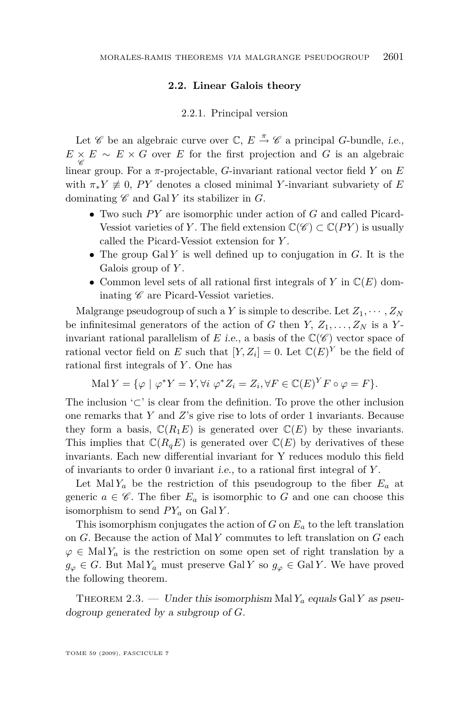#### **2.2. Linear Galois theory**

#### 2.2.1. Principal version

Let  $\mathscr C$  be an algebraic curve over  $\mathbb C, E \stackrel{\pi}{\rightarrow} \mathscr C$  a principal *G*-bundle, *i.e.*,  $E \times E \sim E \times G$  over *E* for the first projection and *G* is an algebraic linear group. For a *π*-projectable, *G*-invariant rational vector field *Y* on *E* with  $\pi_* Y \neq 0$ , *PY* denotes a closed minimal *Y*-invariant subvariety of *E* dominating  $\mathscr C$  and Gal *Y* its stabilizer in *G*.

- Two such PY are isomorphic under action of *G* and called Picard-Vessiot varieties of *Y*. The field extension  $\mathbb{C}(\mathscr{C}) \subset \mathbb{C}(PY)$  is usually called the Picard-Vessiot extension for *Y* .
- *•* The group Gal *Y* is well defined up to conjugation in *G*. It is the Galois group of *Y* .
- *•* Common level sets of all rational first integrals of *Y* in C(*E*) dominating  $\mathscr C$  are Picard-Vessiot varieties.

Malgrange pseudogroup of such a *Y* is simple to describe. Let  $Z_1, \cdots, Z_N$ be infinitesimal generators of the action of *G* then *Y*,  $Z_1, \ldots, Z_N$  is a *Y*invariant rational parallelism of  $E$  i.e., a basis of the  $\mathbb{C}(\mathscr{C})$  vector space of rational vector field on *E* such that  $[Y, Z_i] = 0$ . Let  $\mathbb{C}(E)^Y$  be the field of rational first integrals of *Y* . One has

$$
Mal Y = \{ \varphi \mid \varphi^* Y = Y, \forall i \varphi^* Z_i = Z_i, \forall F \in \mathbb{C}(E)^Y F \circ \varphi = F \}.
$$

The inclusion '*⊂*' is clear from the definition. To prove the other inclusion one remarks that *Y* and *Z*'s give rise to lots of order 1 invariants. Because they form a basis,  $\mathbb{C}(R_1E)$  is generated over  $\mathbb{C}(E)$  by these invariants. This implies that  $\mathbb{C}(R_qE)$  is generated over  $\mathbb{C}(E)$  by derivatives of these invariants. Each new differential invariant for Y reduces modulo this field of invariants to order 0 invariant i.e., to a rational first integral of *Y* .

Let Mal  $Y_a$  be the restriction of this pseudogroup to the fiber  $E_a$  at generic  $a \in \mathscr{C}$ . The fiber  $E_a$  is isomorphic to G and one can choose this isomorphism to send  $PY_a$  on Gal  $Y$ .

This isomorphism conjugates the action of *G* on *E<sup>a</sup>* to the left translation on *G*. Because the action of Mal *Y* commutes to left translation on *G* each  $\varphi \in \text{Mal } Y_a$  is the restriction on some open set of right translation by a  $g_{\varphi} \in G$ . But Mal  $Y_a$  must preserve Gal *Y* so  $g_{\varphi} \in \text{Gal } Y$ . We have proved the following theorem.

THEOREM 2.3. — Under this isomorphism Mal  $Y_a$  equals Gal  $Y$  as pseudogroup generated by a subgroup of *G*.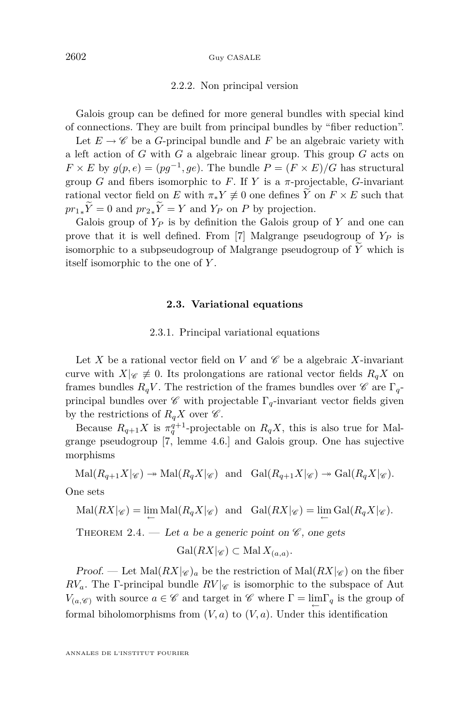#### 2.2.2. Non principal version

<span id="page-10-0"></span>Galois group can be defined for more general bundles with special kind of connections. They are built from principal bundles by "fiber reduction".

Let  $E \to \mathscr{C}$  be a *G*-principal bundle and *F* be an algebraic variety with a left action of *G* with *G* a algebraic linear group. This group *G* acts on  $F \times E$  by  $g(p, e) = (pg^{-1}, ge)$ . The bundle  $P = (F \times E)/G$  has structural group *G* and fibers isomorphic to *F*. If *Y* is a  $\pi$ -projectable, *G*-invariant rational vector field on *E* with  $\pi_* Y \neq 0$  one defines  $\widetilde{Y}$  on  $F \times E$  such that  $pr_{1*}\tilde{Y} = 0$  and  $pr_{2*}\tilde{Y} = Y$  and  $Y_P$  on  $P$  by projection.

Galois group of *Y<sup>P</sup>* is by definition the Galois group of *Y* and one can prove that it is well defined. From [\[7\]](#page-17-0) Malgrange pseudogroup of *Y<sup>P</sup>* is isomorphic to a subpseudogroup of Malgrange pseudogroup of  $\widetilde{Y}$  which is itself isomorphic to the one of *Y* .

#### **2.3. Variational equations**

#### 2.3.1. Principal variational equations

Let X be a rational vector field on V and  $\mathscr C$  be a algebraic X-invariant curve with  $X|_{\mathscr{C}} \neq 0$ . Its prolongations are rational vector fields  $R_qX$  on frames bundles  $R_qV$ . The restriction of the frames bundles over  $\mathscr C$  are  $\Gamma_q$ principal bundles over  $\mathscr C$  with projectable  $\Gamma_q$ -invariant vector fields given by the restrictions of  $R_qX$  over  $\mathscr{C}$ .

Because  $R_{q+1}X$  is  $\pi_q^{q+1}$ -projectable on  $R_qX$ , this is also true for Malgrange pseudogroup [\[7,](#page-17-0) lemme 4.6.] and Galois group. One has sujective morphisms

$$
\mathrm{Mal}(R_{q+1}X|_{\mathscr{C}}) \twoheadrightarrow \mathrm{Mal}(R_{q}X|_{\mathscr{C}}) \text{ and } \mathrm{Gal}(R_{q+1}X|_{\mathscr{C}}) \twoheadrightarrow \mathrm{Gal}(R_{q}X|_{\mathscr{C}}).
$$

One sets

$$
\mathrm{Mal}(RX|_{\mathscr{C}}) = \lim_{\leftarrow} \mathrm{Mal}(R_q X|_{\mathscr{C}}) \text{ and } \mathrm{Gal}(RX|_{\mathscr{C}}) = \lim_{\leftarrow} \mathrm{Gal}(R_q X|_{\mathscr{C}}).
$$

THEOREM 2.4. — Let *a* be a generic point on  $\mathscr{C}$ , one gets

$$
Gal(RX|_{\mathscr{C}}) \subset Mal X_{(a,a)}.
$$

Proof. — Let  $\text{Mal}(RX|_{\mathscr{C}})$ <sub>*a*</sub> be the restriction of  $\text{Mal}(RX|_{\mathscr{C}})$  on the fiber  $RV_a$ . The Γ-principal bundle  $RV|_{\mathscr{C}}$  is isomorphic to the subspace of Aut *V*(*a*, $\mathscr{C}$ ) with source  $a \in \mathscr{C}$  and target in  $\mathscr{C}$  where  $\Gamma = \lim_{\leftarrow} \Gamma_q$  is the group of formal biholomorphisms from  $(V, a)$  to  $(V, a)$ . Under this identification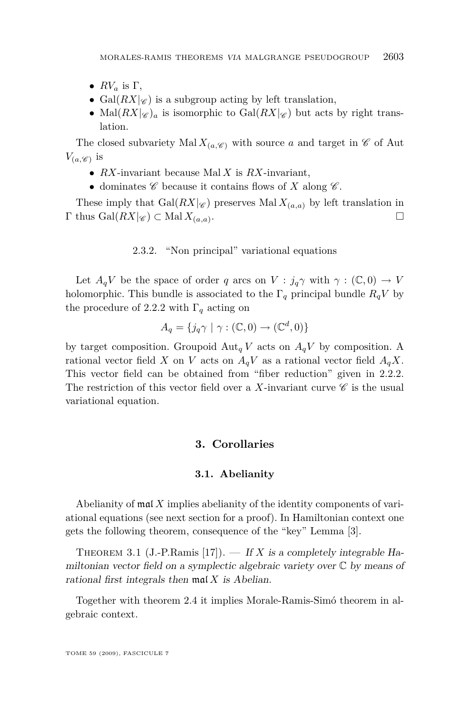- <span id="page-11-0"></span>•  $RV_a$  is  $\Gamma$ ,
- Gal $(RX|_{\mathscr{C}})$  is a subgroup acting by left translation,
- Mal $(RX|_{\mathscr{C}})$ <sub>a</sub> is isomorphic to Gal $(RX|_{\mathscr{C}})$  but acts by right translation.

The closed subvariety Mal  $X_{(a,\mathscr{C})}$  with source *a* and target in  $\mathscr{C}$  of Aut  $V_{(a, \mathscr{C})}$  is

- *• RX*-invariant because Mal *X* is *RX*-invariant,
- dominates  $\mathscr C$  because it contains flows of *X* along  $\mathscr C$ .

These imply that  $Gal(RX|_{\mathscr{C}})$  preserves  $MalX_{(a,a)}$  by left translation in  $\Gamma$  thus  $Gal(RX|_{\mathscr{C}}) \subset Mal X_{(a,a)}$ . . В последните последните последните и производите на селото на селото на селото на селото на селото на селото<br>В селото на селото на селото на селото на селото на селото на селото на селото на селото на селото на селото н

#### 2.3.2. "Non principal" variational equations

Let  $A_qV$  be the space of order *q* arcs on  $V : j_q\gamma$  with  $\gamma : (\mathbb{C},0) \to V$ holomorphic. This bundle is associated to the  $\Gamma_q$  principal bundle  $R_qV$  by the procedure of [2.2.2](#page-10-0) with  $\Gamma_q$  acting on

$$
A_q = \{ j_q \gamma \mid \gamma : (\mathbb{C}, 0) \to (\mathbb{C}^d, 0) \}
$$

by target composition. Groupoid  $\text{Aut}_q V$  acts on  $A_q V$  by composition. A rational vector field *X* on *V* acts on  $A_qV$  as a rational vector field  $A_qX$ . This vector field can be obtained from "fiber reduction" given in [2.2.2.](#page-10-0) The restriction of this vector field over a *X*-invariant curve  $\mathscr C$  is the usual variational equation.

#### **3. Corollaries**

#### **3.1. Abelianity**

Abelianity of mal *X* implies abelianity of the identity components of variational equations (see next section for a proof). In Hamiltonian context one gets the following theorem, consequence of the "key" Lemma [\[3\]](#page-17-0).

THEOREM 3.1 (J.-P.Ramis [\[17\]](#page-17-0)). — If *X* is a completely integrable Hamiltonian vector field on a symplectic algebraic variety over C by means of rational first integrals then mal *X* is Abelian.

Together with theorem [2.4](#page-10-0) it implies Morale-Ramis-Simó theorem in algebraic context.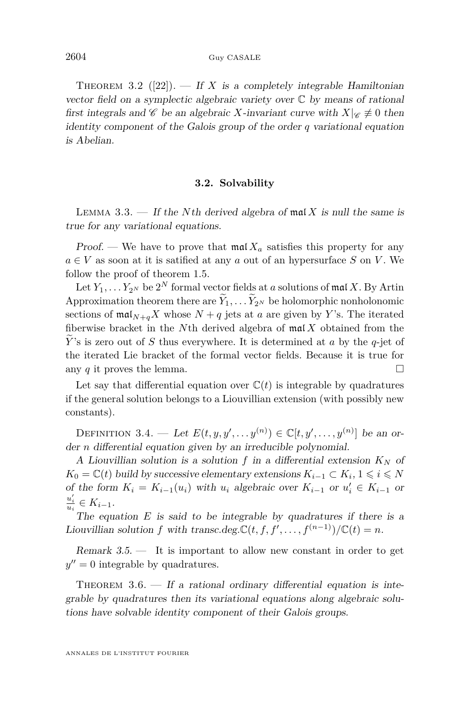<span id="page-12-0"></span>THEOREM 3.2 ([\[22\]](#page-17-0)). — If X is a completely integrable Hamiltonian vector field on a symplectic algebraic variety over  $\mathbb C$  by means of rational first integrals and C be an algebraic X-invariant curve with  $X|_{\mathscr{C}} \neq 0$  then identity component of the Galois group of the order *q* variational equation is Abelian.

#### **3.2. Solvability**

LEMMA 3.3. — If the *N*th derived algebra of mal *X* is null the same is true for any variational equations.

Proof. — We have to prove that  $\text{mal } X_a$  satisfies this property for any  $a \in V$  as soon at it is satified at any *a* out of an hypersurface *S* on *V*. We follow the proof of theorem [1.5.](#page-6-0)

Let  $Y_1, \ldots Y_{2^N}$  be  $2^N$  formal vector fields at *a* solutions of mal *X*. By Artin Approximation theorem there are  $Y_1, \ldots, Y_{2^N}$  be holomorphic nonholonomic sections of  $\text{mal}_{N+a}X$  whose  $N+q$  jets at *a* are given by *Y*'s. The iterated fiberwise bracket in the *N*th derived algebra of mal *X* obtained from the *<sup>Y</sup>*e's is zero out of *<sup>S</sup>* thus everywhere. It is determined at *<sup>a</sup>* by the *<sup>q</sup>*-jet of the iterated Lie bracket of the formal vector fields. Because it is true for any *q* it proves the lemma.

Let say that differential equation over  $\mathbb{C}(t)$  is integrable by quadratures if the general solution belongs to a Liouvillian extension (with possibly new constants).

DEFINITION 3.4. — Let  $E(t, y, y', \ldots, y^{(n)}) \in \mathbb{C}[t, y', \ldots, y^{(n)}]$  be an order *n* differential equation given by an irreducible polynomial.

A Liouvillian solution is a solution  $f$  in a differential extension  $K_N$  of *K*<sup>0</sup> =  $\mathbb{C}(t)$  build by successive elementary extensions  $K_{i-1}$  ⊂  $K_i$ , 1 ≤ *i* ≤ *N* of the form  $K_i = K_{i-1}(u_i)$  with  $u_i$  algebraic over  $K_{i-1}$  or  $u'_i \in K_{i-1}$  or  $\frac{u_i'}{u_i} \in K_{i-1}.$ 

The equation *E* is said to be integrable by quadratures if there is a Liouvillian solution *f* with transc.deg. $\mathbb{C}(t, f, f', \ldots, f^{(n-1)})/\mathbb{C}(t) = n$ .

Remark 3.5. — It is important to allow new constant in order to get  $y'' = 0$  integrable by quadratures.

THEOREM  $3.6.$  — If a rational ordinary differential equation is integrable by quadratures then its variational equations along algebraic solutions have solvable identity component of their Galois groups.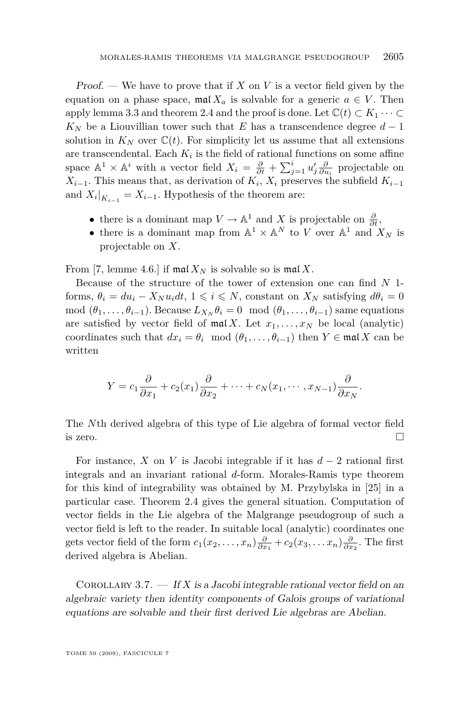Proof. — We have to prove that if *X* on *V* is a vector field given by the equation on a phase space,  $\text{mal } X_a$  is solvable for a generic  $a \in V$ . Then apply lemma [3.3](#page-12-0) and theorem [2.4](#page-10-0) and the proof is done. Let  $\mathbb{C}(t) \subset K_1 \cdots \subset$  $K_N$  be a Liouvillian tower such that *E* has a transcendence degree  $d-1$ solution in  $K_N$  over  $\mathbb{C}(t)$ . For simplicity let us assume that all extensions are transcendental. Each *K<sup>i</sup>* is the field of rational functions on some affine space  $\mathbb{A}^1 \times \mathbb{A}^i$  with a vector field  $X_i = \frac{\partial}{\partial t} + \sum_{j=1}^i u'_j \frac{\partial}{\partial u_i}$  projectable on  $X_{i-1}$ . This means that, as derivation of  $K_i$ ,  $X_i$  preserves the subfield  $K_{i-1}$ and  $X_i|_{K_{i-1}} = X_{i-1}$ . Hypothesis of the theorem are:

- there is a dominant map  $V \to \mathbb{A}^1$  and *X* is projectable on  $\frac{\partial}{\partial t}$ ,
- there is a dominant map from  $\mathbb{A}^1 \times \mathbb{A}^N$  to *V* over  $\mathbb{A}^1$  and  $X_N$  is projectable on *X*.

From [\[7,](#page-17-0) lemme 4.6.] if  $\text{mal } X_N$  is solvable so is  $\text{mal } X$ .

Because of the structure of the tower of extension one can find *N* 1 forms,  $\theta_i = du_i - X_N u_i dt$ ,  $1 \leq i \leq N$ , constant on  $X_N$  satisfying  $d\theta_i = 0$ mod  $(\theta_1, \ldots, \theta_{i-1})$ . Because  $L_{X_N} \theta_i = 0 \mod (\theta_1, \ldots, \theta_{i-1})$  same equations are satisfied by vector field of  $\text{mal } X$ . Let  $x_1, \ldots, x_N$  be local (analytic) coordinates such that  $dx_i = \theta_i \mod (\theta_1, \ldots, \theta_{i-1})$  then  $Y \in \mathfrak{mal} X$  can be written

$$
Y = c_1 \frac{\partial}{\partial x_1} + c_2(x_1) \frac{\partial}{\partial x_2} + \dots + c_N(x_1, \dots, x_{N-1}) \frac{\partial}{\partial x_N}.
$$

The *N*th derived algebra of this type of Lie algebra of formal vector field is zero.  $\Box$ 

For instance, *X* on *V* is Jacobi integrable if it has  $d-2$  rational first integrals and an invariant rational *d*-form. Morales-Ramis type theorem for this kind of integrability was obtained by M. Przybylska in [\[25\]](#page-18-0) in a particular case. Theorem [2.4](#page-10-0) gives the general situation. Computation of vector fields in the Lie algebra of the Malgrange pseudogroup of such a vector field is left to the reader. In suitable local (analytic) coordinates one gets vector field of the form  $c_1(x_2,...,x_n) \frac{\partial}{\partial x_1} + c_2(x_3,...,x_n) \frac{\partial}{\partial x_2}$ . The first derived algebra is Abelian.

COROLLARY  $3.7.$  — If X is a Jacobi integrable rational vector field on an algebraic variety then identity components of Galois groups of variational equations are solvable and their first derived Lie algebras are Abelian.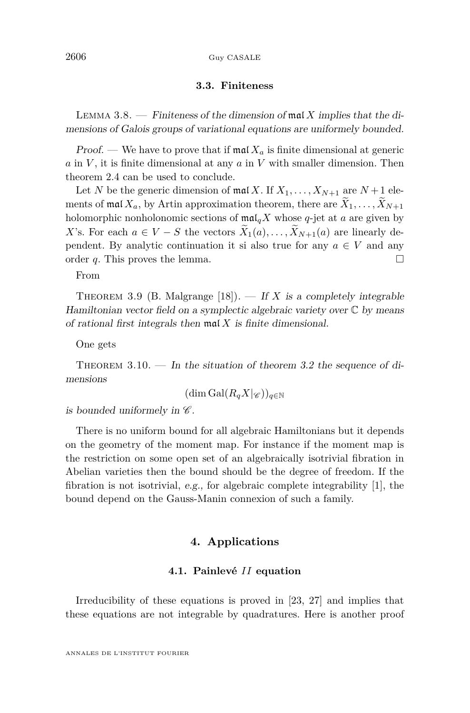#### 2606 Guy CASALE

#### **3.3. Finiteness**

Lemma 3.8. — Finiteness of the dimension of mal *X* implies that the dimensions of Galois groups of variational equations are uniformely bounded.

**Proof.** — We have to prove that if  $\text{mal } X_a$  is finite dimensional at generic *a* in *V* , it is finite dimensional at any *a* in *V* with smaller dimension. Then theorem [2.4](#page-10-0) can be used to conclude.

Let *N* be the generic dimension of  $\text{ma}(X, \text{If } X_1, \ldots, X_{N+1} \text{ are } N+1 \text{ ele-}$ ments of mal  $X_a$ , by Artin approximation theorem, there are  $\tilde{X}_1, \ldots, \tilde{X}_{N+1}$ holomorphic nonholonomic sections of  $\text{maI}_qX$  whose  $q$ -jet at  $a$  are given by *X*'s. For each  $a \in V - S$  the vectors  $\tilde{X}_1(a), \ldots, \tilde{X}_{N+1}(a)$  are linearly dependent. By analytic continuation it si also true for any  $a \in V$  and any order *q*. This proves the lemma.

From

THEOREM 3.9 (B. Malgrange [\[18\]](#page-17-0)). — If *X* is a completely integrable Hamiltonian vector field on a symplectic algebraic variety over  $\mathbb C$  by means of rational first integrals then mal *X* is finite dimensional.

One gets

THEOREM  $3.10.$  — In the situation of theorem [3.2](#page-11-0) the sequence of dimensions

$$
(\dim \mathrm{Gal}(R_qX|_{\mathscr{C}}))_{q\in\mathbb{N}}
$$

is bounded uniformely in  $\mathscr{C}.$ 

There is no uniform bound for all algebraic Hamiltonians but it depends on the geometry of the moment map. For instance if the moment map is the restriction on some open set of an algebraically isotrivial fibration in Abelian varieties then the bound should be the degree of freedom. If the fibration is not isotrivial, e.g., for algebraic complete integrability [\[1\]](#page-16-0), the bound depend on the Gauss-Manin connexion of such a family.

#### **4. Applications**

#### **4.1. Painlevé** *II* **equation**

Irreducibility of these equations is proved in [\[23,](#page-17-0) [27\]](#page-18-0) and implies that these equations are not integrable by quadratures. Here is another proof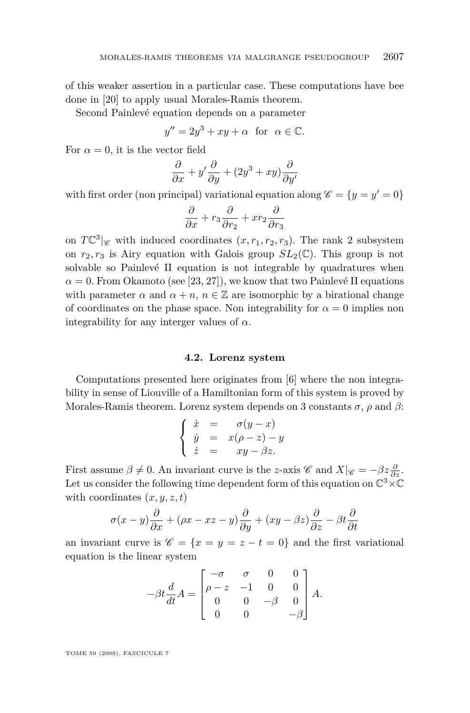of this weaker assertion in a particular case. These computations have bee done in [\[20\]](#page-17-0) to apply usual Morales-Ramis theorem.

Second Painlevé equation depends on a parameter

$$
y'' = 2y^3 + xy + \alpha \text{ for } \alpha \in \mathbb{C}.
$$

For  $\alpha = 0$ , it is the vector field

$$
\frac{\partial}{\partial x} + y' \frac{\partial}{\partial y} + (2y^3 + xy) \frac{\partial}{\partial y'}
$$

with first order (non principal) variational equation along  $\mathscr{C} = \{y = y' = 0\}$ 

$$
\frac{\partial}{\partial x} + r_3 \frac{\partial}{\partial r_2} + x r_2 \frac{\partial}{\partial r_3}
$$

on  $T\mathbb{C}^3$  | $\mathscr{C}$  with induced coordinates  $(x, r_1, r_2, r_3)$ . The rank 2 subsystem on  $r_2, r_3$  is Airy equation with Galois group  $SL_2(\mathbb{C})$ . This group is not solvable so Painlevé II equation is not integrable by quadratures when  $\alpha = 0$ . From Okamoto (see [\[23,](#page-17-0) [27\]](#page-18-0)), we know that two Painlevé II equations with parameter  $\alpha$  and  $\alpha + n$ ,  $n \in \mathbb{Z}$  are isomorphic by a birational change of coordinates on the phase space. Non integrability for  $\alpha = 0$  implies non integrability for any interger values of  $\alpha$ .

#### **4.2. Lorenz system**

Computations presented here originates from [\[6\]](#page-17-0) where the non integrability in sense of Liouville of a Hamiltonian form of this system is proved by Morales-Ramis theorem. Lorenz system depends on 3 constants  $\sigma$ ,  $\rho$  and  $\beta$ :

$$
\begin{cases}\n\dot{x} = \sigma(y-x) \\
\dot{y} = x(\rho-z) - y \\
\dot{z} = xy - \beta z.\n\end{cases}
$$

First assume  $\beta \neq 0$ . An invariant curve is the *z*-axis C and  $X|_{\mathscr{C}} = -\beta z \frac{\partial}{\partial z}$ . Let us consider the following time dependent form of this equation on C <sup>3</sup>*×*C with coordinates  $(x, y, z, t)$ 

$$
\sigma(x-y)\frac{\partial}{\partial x} + (\rho x - xz - y)\frac{\partial}{\partial y} + (xy - \beta z)\frac{\partial}{\partial z} - \beta t \frac{\partial}{\partial t}
$$

an invariant curve is  $\mathscr{C} = \{x = y = z - t = 0\}$  and the first variational equation is the linear system

$$
-\beta t \frac{d}{dt} A = \begin{bmatrix} -\sigma & \sigma & 0 & 0 \\ \rho - z & -1 & 0 & 0 \\ 0 & 0 & -\beta & 0 \\ 0 & 0 & -\beta \end{bmatrix} A.
$$

TOME 59 (2009), FASCICULE 7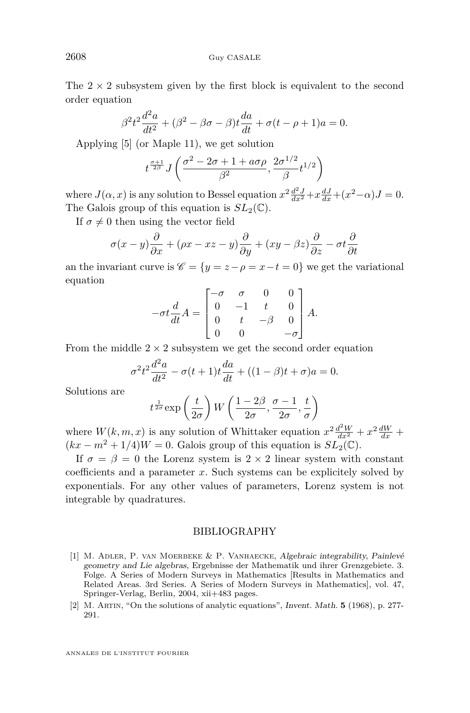The  $2 \times 2$  subsystem given by the first block is equivalent to the second order equation

$$
\beta^2 t^2 \frac{d^2 a}{dt^2} + (\beta^2 - \beta \sigma - \beta)t \frac{da}{dt} + \sigma(t - \rho + 1)a = 0.
$$

Applying [\[5\]](#page-17-0) (or Maple 11), we get solution

$$
t^{\frac{\sigma+1}{2\beta}} J\left(\frac{\sigma^2-2\sigma+1+a\sigma\rho}{\beta^2},\frac{2\sigma^{1/2}}{\beta}t^{1/2}\right)
$$

where  $J(\alpha, x)$  is any solution to Bessel equation  $x^2 \frac{d^2 J}{dx^2} + x \frac{dJ}{dx} + (x^2 - \alpha)J = 0$ . The Galois group of this equation is  $SL_2(\mathbb{C})$ .

If  $\sigma \neq 0$  then using the vector field

$$
\sigma(x-y)\frac{\partial}{\partial x} + (\rho x - xz - y)\frac{\partial}{\partial y} + (xy - \beta z)\frac{\partial}{\partial z} - \sigma t\frac{\partial}{\partial t}
$$

an the invariant curve is  $\mathscr{C} = \{y = z - \rho = x - t = 0\}$  we get the variational equation

$$
-\sigma t \frac{d}{dt} A = \begin{bmatrix} -\sigma & \sigma & 0 & 0 \\ 0 & -1 & t & 0 \\ 0 & t & -\beta & 0 \\ 0 & 0 & -\sigma \end{bmatrix} A.
$$

From the middle  $2 \times 2$  subsystem we get the second order equation

$$
\sigma^2 t^2 \frac{d^2 a}{dt^2} - \sigma(t+1)t \frac{da}{dt} + ((1-\beta)t + \sigma)a = 0.
$$

Solutions are

$$
t^{\frac{1}{2\sigma}} \exp\left(\frac{t}{2\sigma}\right) W\left(\frac{1-2\beta}{2\sigma}, \frac{\sigma-1}{2\sigma}, \frac{t}{\sigma}\right)
$$

where  $W(k, m, x)$  is any solution of Whittaker equation  $x^2 \frac{d^2 W}{dx^2} + x^2 \frac{dW}{dx} +$  $(kx - m^2 + 1/4)W = 0$ . Galois group of this equation is  $SL_2(\mathbb{C})$ .

If  $\sigma = \beta = 0$  the Lorenz system is  $2 \times 2$  linear system with constant coefficients and a parameter *x*. Such systems can be explicitely solved by exponentials. For any other values of parameters, Lorenz system is not integrable by quadratures.

#### BIBLIOGRAPHY

- [1] M. ADLER, P. VAN MOERBEKE & P. VANHAECKE, Algebraic integrability, Painlevé geometry and Lie algebras, Ergebnisse der Mathematik und ihrer Grenzgebiete. 3. Folge. A Series of Modern Surveys in Mathematics [Results in Mathematics and Related Areas. 3rd Series. A Series of Modern Surveys in Mathematics], vol. 47, Springer-Verlag, Berlin, 2004, xii+483 pages.
- [2] M. Artin, "On the solutions of analytic equations", Invent. Math. **5** (1968), p. 277- 291.

<span id="page-16-0"></span>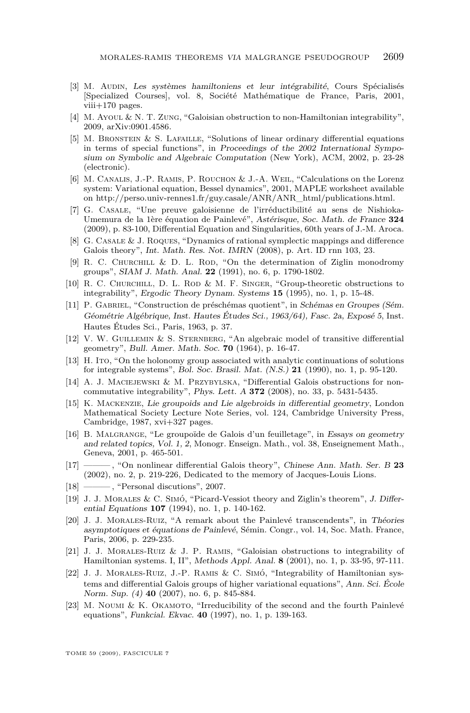- <span id="page-17-0"></span>[3] M. Audin, Les systèmes hamiltoniens et leur intégrabilité, Cours Spécialisés [Specialized Courses], vol. 8, Société Mathématique de France, Paris, 2001,  $viii+170$  pages.
- [4] M. Ayoul & N. T. Zung, "Galoisian obstruction to non-Hamiltonian integrability", 2009, arXiv:0901.4586.
- [5] M. Bronstein & S. Lafaille, "Solutions of linear ordinary differential equations in terms of special functions", in Proceedings of the 2002 International Symposium on Symbolic and Algebraic Computation (New York), ACM, 2002, p. 23-28 (electronic).
- [6] M. Canalis, J.-P. Ramis, P. Rouchon & J.-A. Weil, "Calculations on the Lorenz system: Variational equation, Bessel dynamics", 2001, MAPLE worksheet available on http://perso.univ-rennes1.fr/guy.casale/ANR/ANR\_html/publications.html.
- [7] G. Casale, "Une preuve galoisienne de l'irréductibilité au sens de Nishioka-Umemura de la 1ère équation de Painlevé", Astérisque, Soc. Math. de France **324** (2009), p. 83-100, Differential Equation and Singularities, 60th years of J.-M. Aroca.
- [8] G. Casale & J. Roques, "Dynamics of rational symplectic mappings and difference Galois theory", Int. Math. Res. Not. IMRN (2008), p. Art. ID rnn 103, 23.
- [9] R. C. CHURCHILL & D. L. ROD, "On the determination of Ziglin monodromy groups", SIAM J. Math. Anal. **22** (1991), no. 6, p. 1790-1802.
- [10] R. C. Churchill, D. L. Rod & M. F. Singer, "Group-theoretic obstructions to integrability", Ergodic Theory Dynam. Systems **15** (1995), no. 1, p. 15-48.
- [11] P. Gabriel, "Construction de préschémas quotient", in Schémas en Groupes (Sém. Géométrie Algébrique, Inst. Hautes Études Sci., 1963/64), Fasc. 2a, Exposé 5, Inst. Hautes Études Sci., Paris, 1963, p. 37.
- [12] V. W. Guillemin & S. Sternberg, "An algebraic model of transitive differential geometry", Bull. Amer. Math. Soc. **70** (1964), p. 16-47.
- [13] H. Ito, "On the holonomy group associated with analytic continuations of solutions for integrable systems", Bol. Soc. Brasil. Mat. (N.S.) **21** (1990), no. 1, p. 95-120.
- [14] A. J. Maciejewski & M. Przybylska, "Differential Galois obstructions for noncommutative integrability", Phys. Lett. A **372** (2008), no. 33, p. 5431-5435.
- [15] K. Mackenzie, Lie groupoids and Lie algebroids in differential geometry, London Mathematical Society Lecture Note Series, vol. 124, Cambridge University Press, Cambridge, 1987, xvi+327 pages.
- [16] B. Malgrange, "Le groupoïde de Galois d'un feuilletage", in Essays on geometry and related topics, Vol. 1, 2, Monogr. Enseign. Math., vol. 38, Enseignement Math., Geneva, 2001, p. 465-501.
- [17] ——— , "On nonlinear differential Galois theory", Chinese Ann. Math. Ser. B **23** (2002), no. 2, p. 219-226, Dedicated to the memory of Jacques-Louis Lions.
- [18] ——, "Personal discutions", 2007.
- [19] J. J. Morales & C. Simó, "Picard-Vessiot theory and Ziglin's theorem", J. Differential Equations **107** (1994), no. 1, p. 140-162.
- [20] J. J. Morales-Ruiz, "A remark about the Painlevé transcendents", in Théories asymptotiques et équations de Painlevé, Sémin. Congr., vol. 14, Soc. Math. France, Paris, 2006, p. 229-235.
- [21] J. J. Morales-Ruiz & J. P. Ramis, "Galoisian obstructions to integrability of Hamiltonian systems. I, II", Methods Appl. Anal. **8** (2001), no. 1, p. 33-95, 97-111.
- [22] J. J. Morales-Ruiz, J.-P. Ramis & C. Simó, "Integrability of Hamiltonian systems and differential Galois groups of higher variational equations", Ann. Sci. École Norm. Sup. (4) **40** (2007), no. 6, p. 845-884.
- [23] M. Noumi & K. OKAMOTO, "Irreducibility of the second and the fourth Painlevé equations", Funkcial. Ekvac. **40** (1997), no. 1, p. 139-163.